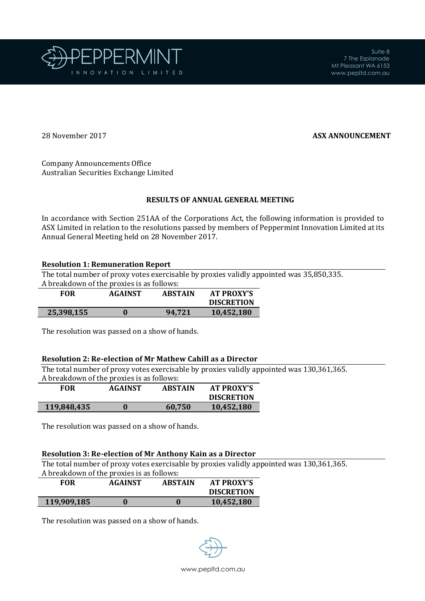

Ī

## 28 November 2017 **ASX ANNOUNCEMENT**

Company Announcements Office Australian Securities Exchange Limited

## **RESULTS OF ANNUAL GENERAL MEETING**

In accordance with Section 251AA of the Corporations Act, the following information is provided to ASX Limited in relation to the resolutions passed by members of Peppermint Innovation Limited at its Annual General Meeting held on 28 November 2017.

## **Resolution 1: Remuneration Report**

The total number of proxy votes exercisable by proxies validly appointed was 35,850,335. A breakdown of the proxies is as follows:

| <b>FOR</b> | <b>AGAINST</b> | <b>ABSTAIN</b> | <b>AT PROXY'S</b> |
|------------|----------------|----------------|-------------------|
|            |                |                | <b>DISCRETION</b> |
| 25,398,155 | $\bf{0}$       | 94.721         | 10,452,180        |

The resolution was passed on a show of hands.

#### **Resolution 2: Re-election of Mr Mathew Cahill as a Director**

The total number of proxy votes exercisable by proxies validly appointed was 130,361,365.

| A breakdown of the proxies is as follows: |                |                |                   |
|-------------------------------------------|----------------|----------------|-------------------|
| FOR                                       | <b>AGAINST</b> | <b>ABSTAIN</b> | <b>AT PROXY'S</b> |
|                                           |                |                | -----------       |

|             |        | <b>DISCRETION</b> |
|-------------|--------|-------------------|
| 119,848,435 | 60,750 | 10,452,180        |

The resolution was passed on a show of hands.

# **Resolution 3: Re-election of Mr Anthony Kain as a Director**

The total number of proxy votes exercisable by proxies validly appointed was 130,361,365. A breakdown of the proxies is as follows:

|             | A DI CARDOWII OI LIIC DI OXIES IS AS IOIIOWS: |                |                   |
|-------------|-----------------------------------------------|----------------|-------------------|
| <b>FOR</b>  | <b>AGAINST</b>                                | <b>ABSTAIN</b> | <b>AT PROXY'S</b> |
|             |                                               |                | <b>DISCRETION</b> |
| 119,909,185 |                                               |                | 10,452,180        |

The resolution was passed on a show of hands.